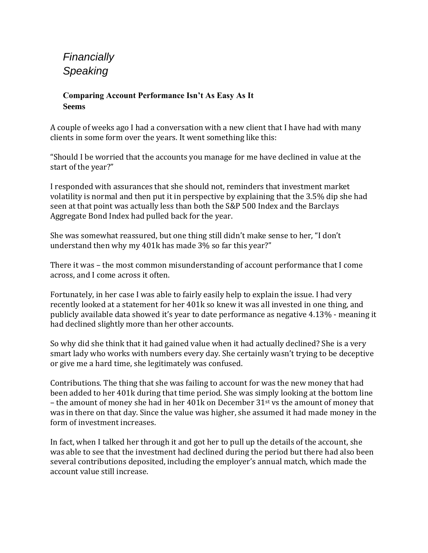*Financially Speaking* 

## **Comparing Account Performance Isn't As Easy As It Seems**

A couple of weeks ago I had a conversation with a new client that I have had with many clients in some form over the years. It went something like this:

"Should I be worried that the accounts you manage for me have declined in value at the start of the year?"

I responded with assurances that she should not, reminders that investment market volatility is normal and then put it in perspective by explaining that the 3.5% dip she had seen at that point was actually less than both the S&P 500 Index and the Barclays Aggregate Bond Index had pulled back for the year.

She was somewhat reassured, but one thing still didn't make sense to her, "I don't understand then why my 401k has made 3% so far this year?"

There it was – the most common misunderstanding of account performance that I come across, and I come across it often.

Fortunately, in her case I was able to fairly easily help to explain the issue. I had very recently looked at a statement for her 401k so knew it was all invested in one thing, and publicly available data showed it's year to date performance as negative 4.13% - meaning it had declined slightly more than her other accounts.

So why did she think that it had gained value when it had actually declined? She is a very smart lady who works with numbers every day. She certainly wasn't trying to be deceptive or give me a hard time, she legitimately was confused.

Contributions. The thing that she was failing to account for was the new money that had been added to her 401k during that time period. She was simply looking at the bottom line – the amount of money she had in her 401k on December  $31^{st}$  vs the amount of money that was in there on that day. Since the value was higher, she assumed it had made money in the form of investment increases.

In fact, when I talked her through it and got her to pull up the details of the account, she was able to see that the investment had declined during the period but there had also been several contributions deposited, including the employer's annual match, which made the account value still increase.